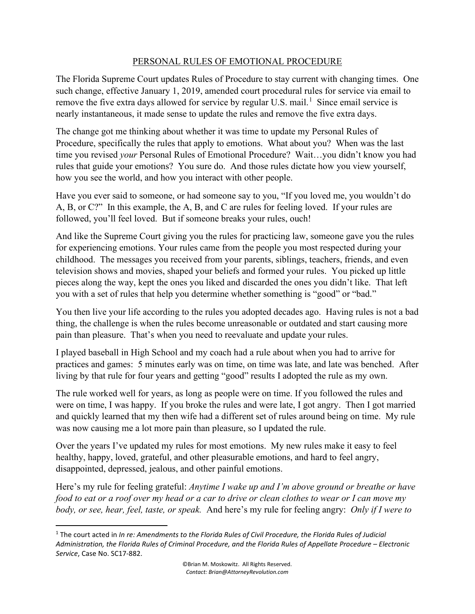## PERSONAL RULES OF EMOTIONAL PROCEDURE

The Florida Supreme Court updates Rules of Procedure to stay current with changing times. One such change, effective January 1, 2019, amended court procedural rules for service via email to remove the five extra days allowed for service by regular U.S. mail.<sup>[1](#page-0-0)</sup> Since email service is nearly instantaneous, it made sense to update the rules and remove the five extra days.

The change got me thinking about whether it was time to update my Personal Rules of Procedure, specifically the rules that apply to emotions. What about you? When was the last time you revised *your* Personal Rules of Emotional Procedure? Wait…you didn't know you had rules that guide your emotions? You sure do. And those rules dictate how you view yourself, how you see the world, and how you interact with other people.

Have you ever said to someone, or had someone say to you, "If you loved me, you wouldn't do A, B, or C?" In this example, the A, B, and C are rules for feeling loved. If your rules are followed, you'll feel loved. But if someone breaks your rules, ouch!

And like the Supreme Court giving you the rules for practicing law, someone gave you the rules for experiencing emotions. Your rules came from the people you most respected during your childhood. The messages you received from your parents, siblings, teachers, friends, and even television shows and movies, shaped your beliefs and formed your rules. You picked up little pieces along the way, kept the ones you liked and discarded the ones you didn't like. That left you with a set of rules that help you determine whether something is "good" or "bad."

You then live your life according to the rules you adopted decades ago. Having rules is not a bad thing, the challenge is when the rules become unreasonable or outdated and start causing more pain than pleasure. That's when you need to reevaluate and update your rules.

I played baseball in High School and my coach had a rule about when you had to arrive for practices and games: 5 minutes early was on time, on time was late, and late was benched. After living by that rule for four years and getting "good" results I adopted the rule as my own.

The rule worked well for years, as long as people were on time. If you followed the rules and were on time, I was happy. If you broke the rules and were late, I got angry. Then I got married and quickly learned that my then wife had a different set of rules around being on time. My rule was now causing me a lot more pain than pleasure, so I updated the rule.

Over the years I've updated my rules for most emotions. My new rules make it easy to feel healthy, happy, loved, grateful, and other pleasurable emotions, and hard to feel angry, disappointed, depressed, jealous, and other painful emotions.

Here's my rule for feeling grateful: *Anytime I wake up and I'm above ground or breathe or have food to eat or a roof over my head or a car to drive or clean clothes to wear or I can move my body, or see, hear, feel, taste, or speak.* And here's my rule for feeling angry: *Only if I were to* 

<span id="page-0-0"></span><sup>1</sup> The court acted in *In re: Amendments to the Florida Rules of Civil Procedure, the Florida Rules of Judicial Administration, the Florida Rules of Criminal Procedure, and the Florida Rules of Appellate Procedure – Electronic Service*, Case No. SC17-882.